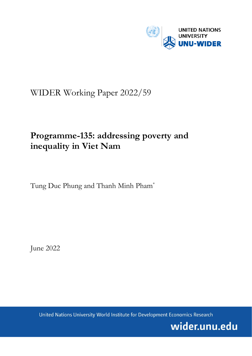

# WIDER Working Paper 2022/59

# **Programme-135: addressing poverty and inequality in Viet Nam**

Tung Duc Phung and Thanh Minh Pham\*

June 2022

United Nations University World Institute for Development Economics Research

wider.unu.edu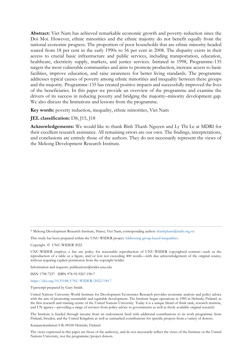**Abstract:** Viet Nam has achieved remarkable economic growth and poverty reduction since the Doi Moi. However, ethnic minorities and the ethnic majority do not benefit equally from the national economic progress. The proportion of poor households that are ethnic minority-headed soared from 18 per cent in the early 1990s to 56 per cent in 2008. The disparity exists in their access to crucial basic infrastructure and public services, including transportation, education, healthcare, electricity supply, markets, and justice services. Initiated in 1998, Programme-135 targets the most vulnerable communities and aims to promote production, increase access to basic facilities, improve education, and raise awareness for better living standards. The programme addresses typical causes of poverty among ethnic minorities and inequality between these groups and the majority. Programme-135 has created positive impacts and successfully improved the lives of the beneficiaries. In this paper we provide an overview of the programme and examine the drivers of its success in reducing poverty and bridging the majority–minority development gap. We also discuss the limitations and lessons from the programme.

**Key words:** poverty reduction, inequality, ethnic minorities, Viet Nam

## **JEL classification:** I38, J15, J18

**Acknowledgements:** We would like to thank Binh Thanh Nguyen and Ly Thi Le at MDRI for their excellent research assistance. All remaining errors are our own. The findings, interpretations, and conclusions are entirely those of the authors. They do not necessarily represent the views of the Mekong Development Research Institute.

\* Mekong Development Research Institute, Hanoi, Viet Nam; corresponding author[: thanhpham@mdri.org.vn](mailto:thanhpham@mdri.org.vn)

This study has been prepared within the UNU-WIDER projec[t Addressing group-based inequalities.](https://www.wider.unu.edu/node/237111)

Copyright © UNU-WIDER 2022

UNU-WIDER employs a fair use policy for reasonable reproduction of UNU-WIDER copyrighted content—such as the reproduction of a table or a figure, and/or text not exceeding 400 words—with due acknowledgement of the original source, without requiring explicit permission from the copyright holder.

Information and requests: publications@wider.unu.edu

ISSN 1798-7237 ISBN 978-92-9267-190-7

## <https://doi.org/10.35188/UNU-WIDER/2022/190-7>

Typescript prepared by Gary Smith.

United Nations University World Institute for Development Economics Research provides economic analysis and policy advice with the aim of promoting sustainable and equitable development. The Institute began operations in 1985 in Helsinki, Finland, as the first research and training centre of the United Nations University. Today it is a unique blend of think tank, research institute, and UN agency—providing a range of services from policy advice to governments as well as freely available original research.

The Institute is funded through income from an endowment fund with additional contributions to its work programme from Finland, Sweden, and the United Kingdom as well as earmarked contributions for specific projects from a variety of donors.

Katajanokanlaituri 6 B, 00160 Helsinki, Finland

The views expressed in this paper are those of the author(s), and do not necessarily reflect the views of the Institute or the United Nations University, nor the programme/project donors.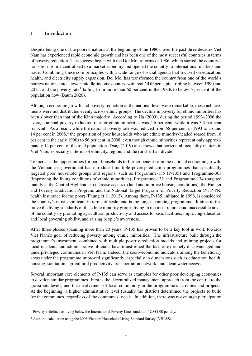## <span id="page-2-0"></span>1 Introduction

Despite being one of the poorest nations at the beginning of the 1980s, over the past three decades Viet Nam has experienced rapid economic growth and has been one of the most successful countries in terms of poverty reduction. This success began with the Doi Moi reforms of 1986, which started the country's transition from a centralized to a market economy and opened the country to international markets and trade. Combining these core principles with a wide range of social agenda that focused on education, health, and electricity supply expansion, Doi Moi has transformed the country from one of the world's poorest nations into a lower-middle-income country, with real GDP per capita tripling between 1990 and 2015, and the poverty rate<sup>1</sup> falling from more than 60 per cent in the 1980s to below 5 per cent of the population now [\(Baum](#page-20-0) [2020\)](#page-20-0).

Although economic growth and poverty reduction at the national level were remarkable, these achievements were not distributed evenly across ethnic groups. The decline in poverty for ethnic minorities has been slower than that of the Kinh majority. According to [Ha](#page-21-0) [\(2009\)](#page-21-0), during the period 1993–2006 the average annual poverty reduction rate for ethnic minorities was 2.6 per cent, while it was 3.4 per cent for Kinh. As a result, while the national poverty rate was reduced from 58 per cent in 1993 to around 14 per cent in 2008,<sup>2</sup> the proportion of poor households who are ethnic minority-headed soared from 18 per cent in the early 1990s to 56 per cent in 2008, even though ethnic minorities represent only approximately 14 per cent of the total population. [Dang](#page-21-1) [\(2019\)](#page-21-1) also shows that horizontal inequality matters in Viet Nam, especially in terms of ethnicity, region, and the rural–urban divide.

To increase the opportunities for poor households to further benefit from the national economic growth, the Vietnamese government has introduced multiple poverty-reduction programmes that specifically targeted poor household groups and regions, such as Programme-135 (P-135) and Programme-30a (improving the living conditions of ethnic minorities), Programme-132 and Programme-134 (targeted mainly at the Central Highlands to increase access to land and improve housing conditions), the Hunger and Poverty Eradication Program, and the National Target Program for Poverty Reduction (NTP-PR; health insurance for the poor) [\(Phung et al.](#page-21-2) [2012\)](#page-21-2). Among them, P-135, initiated in 1998, is considered the country's most significant in terms of scale, and is the longest-running programme. It aims to improve the living standards of the ethnic minority groups living in the most remote and inaccessible areas of the country by promoting agricultural productivity and access to basic facilities, improving education and local governing ability, and raising people's awareness.

After three phases spanning more than 20 years, P-135 has proven to be a key tool in work towards Viet Nam's goal of reducing poverty among ethnic minorities. The infrastructure built through the programme's investment, combined with multiple poverty-reduction models and training projects for local residents and administrative officials, have transformed the face of extremely disadvantaged and underprivileged communes in Viet Nam. Indeed, the socio-economic indicators among the beneficiary areas under the programme improved significantly, especially in dimensions such as education, health, housing, sanitation, agricultural productivity, transportation network, and clean water access.

Several important core elements of P-135 can serve as examples for other poor developing economies to develop similar programmes. First is the decentralized management approach from the central to the grassroots levels, and the involvement of local community in the programme's activities and projects. At the beginning, a higher administrative level (usually the district) determined the projects to build for the communes, regardless of the communes' needs. In addition, there was not enough participation

<sup>&</sup>lt;sup>1</sup> Poverty is defined as living below the International Poverty Line standard of US\$1.90 per day.

<sup>2</sup> Authors' calculation using the 2008 Vietnam Household Living Standard Survey (VHLSS).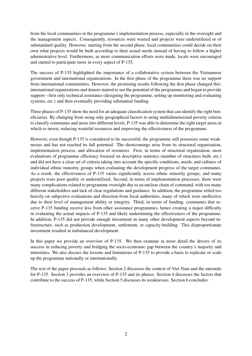from the local communities in the programme's implementation process, especially in the oversight and the management aspects. Consequently, resources were wasted and projects were underutilized or of substandard quality. However, starting from the second phase, local communities could decide on their own what projects would be built according to their actual needs instead of having to follow a higher administrative level. Furthermore, as more communication efforts were made, locals were encouraged and started to participate more in every aspect of P-135.

The success of P-135 highlighted the importance of a collaborative system between the Vietnamese government and international organizations. In the first phase of the programme there was no support from international communities. However, the promising results following the first phase changed this: international organizations and donors started to see the potential of the programme and began to provide support—first only technical assistance (designing the programme, setting up monitoring and evaluating systems, etc.) and then eventually providing substantial funding.

Three phases of P-135 show the need for an adequate classification system that can identify the right beneficiaries. By changing from using only geographical factors to using multidimensional poverty criteria to classify communes and areas into different levels, P-135 was able to determine the right target areas in which to invest, reducing wasteful resources and improving the effectiveness of the programme.

However, even though P-135 is considered to be successful, the programme still possesses some weaknesses and has not reached its full potential. The shortcomings arise from its structural organization, implementation process, and allocation of resources. First, in terms of structural organization, most evaluations of programme efficiency focused on descriptive statistics (number of structures built, etc.) and did not have a clear set of criteria taking into account the specific conditions, needs, and cultures of individual ethnic minority groups when evaluating the development progress of the target communes. As a result, the effectiveness of P-135 varies significantly across ethnic minority groups, and many projects were poor quality or underutilized. Second, in terms of implementation processes, there were many complications related to programme oversight due to an unclear chain of command, with too many different stakeholders and lack of clear regulations and guidance. In addition, the programme relied too heavily on subjective evaluations and direction from local authorities, many of which were ineffective due to their level of management ability or integrity. Third, in terms of funding, communes that receive P-135 funding receive less from other assistance programmes, hence creating a major difficulty in evaluating the actual impacts of P-135 and likely undermining the effectiveness of the programme. In addition, P-135 did not provide enough investment in many other development aspects beyond infrastructure, such as production development, settlement, or capacity-building. This disproportionate investment resulted in imbalanced development.

In this paper we provide an overview of P-135. We then examine in more detail the drivers of its success in reducing poverty and bridging the socio-economic gap between the country's majority and minorities. We also discuss the lessons and limitations of P-135 to provide a basis to replicate or scale up the programme nationally or internationally.

<span id="page-3-0"></span>The rest of the paper proceeds as follows: Section [2](#page-3-0) discusses the context of Viet Nam and the rationale for P-135. Section [3](#page-8-0) provides an overview of P-135 and its phases. Section [4](#page-17-0) discusses the factors that contribute to the success of P-135, while Section [5](#page-19-0) discusses its weaknesses. Section [6](#page-20-1) concludes.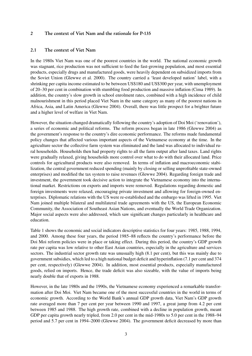## 2 The context of Viet Nam and the rationale for P-135

#### 2.1 The context of Viet Nam

In the 1980s Viet Nam was one of the poorest countries in the world. The national economic growth was stagnant, rice production was not sufficient to feed the fast-growing population, and most essential products, especially drugs and manufactured goods, were heavily dependent on subsidized imports from the Soviet Union [\(Glewwe et al.](#page-21-3) [2000\)](#page-21-3). The country carried a 'least developed nation' label, with a shrinking per capita income estimated to be between US\$180 and US\$300 per year, with unemployment of 20–30 per cent in combination with stumbling food production and massive inflation [\(Cima](#page-20-2) [1989\)](#page-20-2). In addition, the country's slow growth in school enrolment rates, combined with a high incidence of child malnourishment in this period placed Viet Nam in the same category as many of the poorest nations in Africa, Asia, and Latin America [\(Glewwe](#page-21-4) [2004\)](#page-21-4). Overall, there was little prospect for a brighter future and a higher level of welfare in Viet Nam.

However, the situation changed dramatically following the country's adoption of Doi Moi ('renovation'), a series of economic and political reforms. The reform process began in late 1986 [\(Glewwe](#page-21-4) [2004\)](#page-21-4) as the government's response to the country's dire economic performance. The reforms made fundamental policy changes that affected various important aspects of the Vietnamese economy at the time. In the agriculture sector the collective farm system was eliminated and the land was allocated to individual rural households. Households then had property rights to all the farm output after land taxes. Land rights were gradually relaxed, giving households more control over what to do with their allocated land. Price controls for agricultural products were also removed. In terms of inflation and macroeconomic stabilization, the central government reduced spending (mainly by closing or selling unprofitable state-owned enterprises) and modified the tax system to raise revenues [\(Glewwe](#page-21-4) [2004\)](#page-21-4). Regarding foreign trade and investment, the government took decisive action to integrate the Vietnamese economy into the international market. Restrictions on exports and imports were removed. Regulations regarding domestic and foreign investments were relaxed, encouraging private investment and allowing for foreign-owned enterprises. Diplomatic relations with the US were re-established and the embargo was lifted in 1995. Viet Nam joined multiple bilateral and multilateral trade agreements with the US, the European Economic Community, the Association of Southeast Asian Nations, and eventually the World Trade Organization. Major social aspects were also addressed, which saw significant changes particularly in healthcare and education.

Table [1](#page-5-0) shows the economic and social indicators descriptive statistics for four years: 1985, 1988, 1994, and 2000. Among these four years, the period 1985–88 reflects the country's performance before the Doi Moi reform policies were in place or taking effect. During this period, the country's GDP growth rate per capita was low relative to other East Asian countries, especially in the agriculture and services sectors. The industrial sector growth rate was unusually high (8.1 per cent), but this was mainly due to government subsidies, which led to a high national budget deficit and hyperinflation (7.1 per cent and 374 per cent, respectively) [\(Glewwe](#page-21-4) [2004\)](#page-21-4). In addition, most essential products, especially manufactured goods, relied on imports. Hence, the trade deficit was also sizeable, with the value of imports being nearly double that of exports in 1988.

However, in the late 1980s and the 1990s, the Vietnamese economy experienced a remarkable transformation after Doi Moi. Viet Nam became one of the most successful countries in the world in terms of economic growth. According to the World Bank's annual GDP growth data, Viet Nam's GDP growth rate averaged more than 7 per cent per year between 1990 and 1997, a great jump from 4.2 per cent between 1985 and 1988. The high growth rate, combined with a decline in population growth, meant GDP per capita growth nearly tripled, from 2.0 per cent in the mid-1980s to 5.0 per cent in the 1988–94 period and 5.7 per cent in 1994–2000 [\(Glewwe](#page-21-4) [2004\)](#page-21-4). The government deficit decreased by more than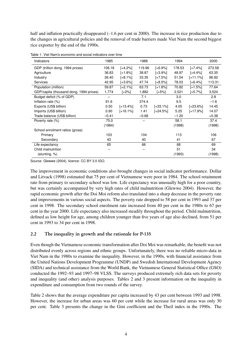half and inflation practically disappeared  $(-1.6$  per cent in 2000). The increase in rice production due to the changes in agricultural policies and the removal of trade barriers made Viet Nam the second biggest rice exporter by the end of the 1990s.

| Indicators                              | 1985    |            | 1988    |            | 1994    |            | 2000    |
|-----------------------------------------|---------|------------|---------|------------|---------|------------|---------|
| GDP (trillion dong, 1994 prices)        | 106.18  | [+4.2%]    | 119.96  | $[+6.9\%]$ | 178.53  | $[-7.4%]$  | 273.58  |
| Agriculture                             | 36.83   | [+1.8%]    | 38.87   | $[-3.9%]$  | 48.97   | [+4.4%]    | 63.35   |
| Industry                                | 26.40   | $[+8.1\%]$ | 33.35   | $[-7.5\%]$ | 51.54   | $[-11.1%]$ | 96.92   |
| Services                                | 42.95   | $[-3.6\%]$ | 47.74   | $[+8.5\%]$ | 78.03   | [+6.4%]    | 113.31  |
| Population (million)                    | 59.87   | [+2.1%]    | 63.73   | $[-1.8\%]$ | 70.82   | [+1.5%]    | 77.64   |
| GDP/capita (thousand dong, 1994 prices) | 1,774   | $[-2%]$    | 1,882   | $[-5%]$    | 2,521   | $[-5.7%]$  | 3,524   |
| Budget deficit (% of GDP)               |         |            | 7.1     |            | 3.0     |            | 2.8     |
| Inflation rate (%)                      | 91.6    |            | 374.4   |            | 9.5     |            | $-1.6$  |
| Exports (US\$ billion)                  | 0.50    | $[-13.4%]$ | 0.73    | $[-33.1%]$ | 4.05    | $[-23.6%]$ | 14.45   |
| Imports (US\$ billion)                  | 0.90    | $[+16.1%]$ | 1.41    | $[-24.5%]$ | 5.25    | $[+17.9%]$ | 14.07   |
| Trade balance (US\$ billion)            | $-0.41$ |            | $-0.68$ |            | $-1.20$ |            | $+0.38$ |
| Poverty rate (%)                        | 75.0    |            |         |            | 58.1    |            | 37.4    |
|                                         | (1984)  |            |         |            | (1998)  |            | (1998)  |
| School enrolment ratios (gross)         |         |            |         |            |         |            |         |
| Primary                                 | 103     |            | 104     |            | 113     |            | 106     |
| Secondary                               | 43      |            | 40      |            | 41      |            | 67      |
| Life expectancy                         | 65      |            | 66      |            | 68      |            | 69      |
| Child malnutrition                      |         |            |         |            | 51      |            | 34      |
| (stunting, %)                           |         |            |         |            | (1993)  |            | (1998)  |

<span id="page-5-0"></span>Table 1: Viet Nam's economic and social indicators over time

Source: [Glewwe](#page-21-4) [\(2004\)](#page-21-4), licence: CC BY 3.0 IGO.

The improvement in economic conditions also brought changes in social indicator performance. [Dollar](#page-21-5) [and Litvack](#page-21-5) [\(1998\)](#page-21-5) estimated that 75 per cent of Vietnamese were poor in 1984. The school retainment rate from primary to secondary school was low. Life expectancy was unusually high for a poor country, but was certainly accompanied by very high rates of child malnutrition [\(Glewwe](#page-21-4) [2004\)](#page-21-4). However, the rapid economic growth after the Doi Moi reform also translated into a sharp decrease in the poverty rate and improvements in various social aspects. The poverty rate dropped to 58 per cent in 1993 and 37 per cent in 1998. The secondary school enrolment rate increased from 40 per cent in the 1980s to 67 per cent in the year 2000. Life expectancy also increased steadily throughout the period. Child malnutrition, defined as low height for age, among children younger than five years of age also declined, from 51 per cent in 1993 to 34 per cent in 1998.

## 2.2 The inequality in growth and the rationale for P-135

Even though the Vietnamese economic transformation after Doi Moi was remarkable, the benefit was not distributed evenly across regions and ethnic groups. Unfortunately, there was no reliable micro-data in Viet Nam in the 1980s to examine the inequality. However, in the 1990s, with financial assistance from the United Nations Development Programme (UNDP) and Swedish International Development Agency (SIDA) and technical assistance from the World Bank, the Vietnamese General Statistical Office (GSO) conducted the 1992–93 and 1997–98 VLSS. The surveys produced extremely rich data sets for poverty and inequality (and other) analysis purposes. Tables [2](#page-6-0) and [3](#page-6-1) present information on the inequality in expenditure and consumption from two rounds of the survey.

Table [2](#page-6-0) shows that the average expenditure per capita increased by 43 per cent between 1993 and 1998. However, the increase for urban areas was 60 per cent while the increase for rural areas was only 30 per cent. Table 3 presents the change in the Gini coefficient and the Theil index in the 1990s. The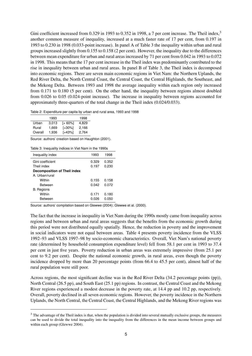Gini coefficient increased from 0.[3](#page-2-0)29 in 1993 to 0.352 in 1998, a 7 per cent increase. The Theil index,<sup>3</sup> another common measure of inequality, increased at a much faster rate of 17 per cent, from 0.197 in 1993 to 0.230 in 1998 (0.033-point increase). In panel A of Table [3](#page-6-1) the inequality within urban and rural groups increased slightly from 0.155 to 0.158 (2 per cent). However, the inequality due to the differences between mean expenditure for urban and rural areas increased by 71 per cent from 0.042 in 1993 to 0.072 in 1998. This means that the 17 per cent increase in the Theil index was predominantly contributed to the rise in inequality between urban and rural areas. In panel B of Table [3,](#page-6-1) the Theil index is decomposed into economic regions. There are seven main economic regions in Viet Nam: the Northern Uplands, the Red River Delta, the North Central Coast, the Central Coast, the Central Highlands, the Southeast, and the Mekong Delta. Between 1993 and 1998 the average inequality within each region only increased from 0.171 to 0.180 (5 per cent). On the other hand, the inequality between regions almost doubled from 0.026 to 0.05 (0.024-point increase). The increase in inequality between regions accounted for approximately three-quarters of the total change in the Theil index (0.024/0.033).

<span id="page-6-0"></span>Table 2: Expenditure per capita by urban and rural area, 1993 and 1998

|         | 1993  |         | 1998  |
|---------|-------|---------|-------|
| Urban   | 3.013 | [+ 60%] | 4.829 |
| Rural   | 1.669 | [+30%]  | 2,166 |
| Overall | 1.936 | [+43%]  | 2,764 |

Source: authors' creation based on [Haughton](#page-21-6) [\(2001\)](#page-21-6).

<span id="page-6-1"></span>Table 3: Inequality indices in Viet Nam in the 1990s

| Inequality index                    | 1993  | 1998  |
|-------------------------------------|-------|-------|
| Gini coefficient                    | 0.329 | 0.352 |
| Theil index                         | 0.197 | 0.230 |
| <b>Decomposition of Theil index</b> |       |       |
| A. Urban/rural                      |       |       |
| Within                              | 0.155 | 0.158 |
| Between                             | 0.042 | 0.072 |
| <b>B.</b> Regions                   |       |       |
| Within                              | 0.171 | 0.180 |
| Between                             | 0.026 | 0.050 |

Source: authors' compilation based on [Glewwe](#page-21-4) [\(2004\)](#page-21-4); [Glewwe et al.](#page-21-3) [\(2000\)](#page-21-3).

The fact that the increase in inequality in Viet Nam during the 1990s mostly came from inequality across regions and between urban and rural areas suggests that the benefits from the economic growth during this period were not distributed equally spatially. Hence, the reduction in poverty and the improvement in social indicators were not equal between areas. Table [4](#page-7-0) presents poverty incidence from the VLSS 1992–93 and VLSS 1997–98 by socio-economic characteristics. Overall, Viet Nam's national poverty rate (determined by household consumption expenditure level) fell from 58.1 per cent in 1993 to 37.4 per cent in just five years. Poverty reduction in urban areas was extremely impressive (from 25.1 per cent to 9.2 per cent). Despite the national economic growth, in rural areas, even though the poverty incidence dropped by more than 20 percentage points (from 66.4 to 45.5 per cent), almost half of the rural population were still poor.

Across regions, the most significant decline was in the Red River Delta (34.2 percentage points (pp)), North Central (26.5 pp), and South East (25.1 pp) regions. In contrast, the Central Coast and the Mekong River regions experienced a modest decrease in the poverty rate, at 14.4 pp and 10.2 pp, respectively. Overall, poverty declined in all seven economic regions. However, the poverty incidence in the Northern Uplands, the North Central, the Central Coast, the Central Highlands, and the Mekong River regions was

<sup>&</sup>lt;sup>3</sup> The advantage of the Theil index is that, when the population is divided into several mutually exclusive groups, the measures can be used to divide the total inequality into the inequality from the differences in the mean income between groups and within each group [\(Glewwe](#page-21-4) [2004\)](#page-21-4).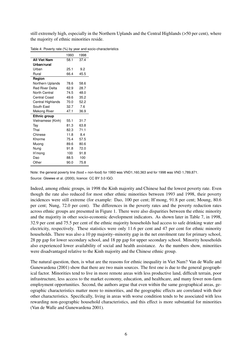still extremely high, especially in the Northern Uplands and the Central Highlands (>50 per cent), where the majority of ethnic minorities reside.

|                        | 1993 | 1998 |
|------------------------|------|------|
| <b>All Viet Nam</b>    | 58.1 | 37.4 |
| Urban/rural            |      |      |
| Urban                  | 25.1 | 9.2  |
| Rural                  | 66.4 | 45.5 |
| Region                 |      |      |
| Northern Uplands       | 78.6 | 58.6 |
| <b>Red River Delta</b> | 62.9 | 28.7 |
| North Central          | 74.5 | 48.0 |
| <b>Central Coast</b>   | 49.6 | 35.2 |
| Central Highlands      | 70.0 | 52.2 |
| South East             | 32.7 | 7.6  |
| Mekong River           | 47.1 | 36.9 |
| Ethnic group           |      |      |
| Vietnamese (Kinh)      | 55.1 | 31.7 |
| Tay                    | 81.3 | 63.8 |
| Thai                   | 82.3 | 71.1 |
| Chinese                | 11.8 | 8.4  |
| Khorme                 | 75.4 | 57.5 |
| Muong                  | 89.6 | 80.6 |
| Nung                   | 91.8 | 72.0 |
| H'mong                 | 100  | 91.8 |
| Dao                    | 88.5 | 100  |
| Other                  | 90.0 | 75.8 |
|                        |      |      |

<span id="page-7-0"></span>Table 4: Poverty rate (%) by year and socio-characteristics

Note: the general poverty line (food + non-food) for 1993 was VND1,160,363 and for 1998 was VND 1,789,871. Source: [Glewwe et al.](#page-21-3) [\(2000\)](#page-21-3), licence: CC BY 3.0 IGO.

Indeed, among ethnic groups, in 1998 the Kinh majority and Chinese had the lowest poverty rate. Even though the rate also reduced for most other ethnic minorities between 1993 and 1998, their poverty incidences were still extreme (for example: Dao, 100 per cent; H'mong, 91.8 per cent; Moung, 80.6 per cent; Nung, 72.0 per cent). The differences in the poverty rates and the poverty reduction rates across ethnic groups are presented in Figure [1.](#page-8-1) There were also disparities between the ethnic minority and the majority in other socio-economic development indicators. As shown later in Table [7,](#page-12-0) in 1998, 32.9 per cent and 75.5 per cent of the ethnic majority households had access to safe drinking water and electricity, respectively. These statistics were only 11.6 per cent and 47 per cent for ethnic minority households. There was also a 10 pp majority–minority gap in the net enrolment rate for primary school, 28 pp gap for lower secondary school, and 18 pp gap for upper secondary school. Minority households also experienced lower availability of social and health assistance. As the numbers show, minorities were disadvantaged relative to the Kinh majority and the Chinese ethnic group.

The natural question, then, is what are the reasons for ethnic inequality in Viet Nam? [Van de Walle and](#page-21-7) [Gunewardena](#page-21-7) [\(2001\)](#page-21-7) show that there are two main sources. The first one is due to the general geographical factor. Minorities tend to live in more remote areas with less productive land, difficult terrain, poor infrastructure, less access to the market economy, education, and healthcare, and many fewer non-farm employment opportunities. Second, the authors argue that even within the same geographical areas, geographic characteristics matter more to minorities, and the geographic effects are correlated with their other characteristics. Specifically, living in areas with worse condition tends to be associated with less rewarding non-geographic household characteristics, and this effect is more substantial for minorities [\(Van de Walle and Gunewardena](#page-21-7) [2001\)](#page-21-7).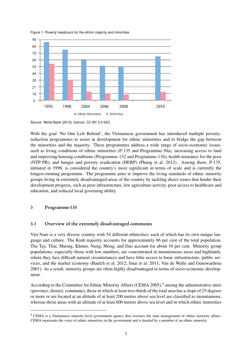<span id="page-8-1"></span>



Source: [World Bank](#page-21-8) [\(2012\)](#page-21-8), licence: CC BY 3.0 IGO.

With the goal 'No One Left Behind', the Vietnamese government has introduced multiple povertyreduction programmes to assist in development for ethnic minorities and to bridge the gap between the minorities and the majority. These programmes address a wide range of socio-economic issues, such as living conditions of ethnic minorities (P-135 and Programme-30a), increasing access to land and improving housing conditions (Programme-132 and Programme-134), health insurance for the poor (NTP-PR), and hunger and poverty eradication (HERP) [\(Phung et al.](#page-21-2) [2012\)](#page-21-2). Among them, P-135, initiated in 1998, is considered the country's most significant in terms of scale and is currently the longest-running programme. The programme aims to improve the living standards of ethnic minority groups living in extremely disadvantaged areas of the country by tackling direct issues that hinder their development progress, such as poor infrastructure, low agriculture activity, poor access to healthcare and education, and reduced local governing ability.

## <span id="page-8-0"></span>3 Programme-135

## 3.1 Overview of the extremely disadvantaged communes

Viet Nam is a very diverse country with 54 different ethnicities, each of which has its own unique language and culture. The Kinh majority accounts for approximately 86 per cent of the total population. The Tay, Thai, Muong, Khmer, Nung, Mong, and Dao account for about 10 per cent. Minority group populations, especially those with low numbers, are concentrated in mountainous areas and highlands, where they face difficult natural circumstances and have little access to basic infrastructure, public services, and the market economy [\(Baulch et al.](#page-20-3) [2012;](#page-20-3) [Imai et al.](#page-21-9) [2011;](#page-21-9) [Van de Walle and Gunewardena](#page-21-7) [2001\)](#page-21-7). As a result, minority groups are often highly disadvantaged in terms of socio-economic development.

According to the Committee for Ethnic Minority Affairs (CEMA 2005),<sup>[4](#page-2-0)</sup> among the administrative units (province, district, commune), those in which at least two-thirds of the total area has a slope of 25 degrees or more or are located at an altitude of at least 200 metres above sea level are classified as mountainous, whereas those areas with an altitude of at least 600 metres above sea level and in which ethnic minorities

<sup>4</sup> CEMA is a Vietnamese ministry-level government agency that oversees the state management of ethnic minority affairs. CEMA represents the voice of ethnic minorities in the government and is headed by a member of an ethnic minority.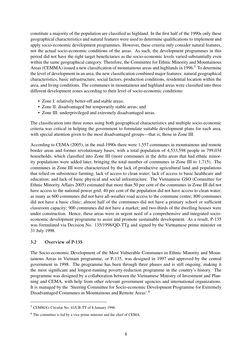constitute a majority of the population are classified as highland. In the first half of the 1990s only these geographical characteristics and natural features were used to determine qualifications to implement and apply socio-economic development programmes. However, these criteria only consider natural features, not the actual socio-economic conditions of the areas. As such, the development programmes in this period did not have the right target beneficiaries as the socio-economic levels varied substantially even within the same geographical category. Therefore, the Committee for Ethnic Minority and Mountainous Areas (CEMMA) issued a new classification of mountainous areas and highlands in 1996.<sup>[5](#page-2-0)</sup> To determine the level of development in an area, the new classification combined major features: natural geographical characteristics, basic infrastructure, social factors, production conditions, residential location within the area, and living conditions. The communes in mountainous and highland areas were classified into three different development zones according to their level of socio-economic conditions:

- Zone I: relatively better-off and stable areas;
- Zone II: disadvantaged but temporarily stable areas; and
- Zone III: underprivileged and extremely disadvantaged areas.

The classification into three zones using both geographical characteristics and multiple socio-economic criteria was critical in helping the government to formulate suitable development plans for each area, with special attention given to the most disadvantaged groups—that is, those in Zone III.

According to CEMA [\(2005\)](#page-20-4), in the mid-1990s there were 1,557 communes in mountainous and remote border areas and former revolutionary bases, with a total population of 4,533,598 people in 799,034 households, which classified into Zone III (more communes in the delta areas that had ethnic minority populations were added later, bringing the total number of communes in Zone III to 1,715). The communes in Zone III were characterized by the lack of productive agricultural land and populations that relied on subsistence farming; lack of access to clean water; lack of access to basic healthcare and education; and lack of basic physical and social infrastructure. The Vietnamese GSO [\(Committee for](#page-20-4) [Ethnic Minority Affairs](#page-20-4) [2005\)](#page-20-4) estimated that more than 50 per cent of the communes in Zone III did not have access to the national power grid; 40 per cent of the population did not have access to clean water; as many as 600 communes did not have all-weather road access to the commune centre; 800 communes did not have a basic clinic; almost half of the communes did not have a primary school or sufficient classroom capacity; 900 communes did not have a market; and two-thirds of the dwelling houses were under construction. Hence, these areas were in urgent need of a comprehensive and integrated socioeconomic development programme to assist and promote sustainable development. As a result, P-135 was formulated via Decision No. 135/1998/QD-TTg and signed by the Vietnamese prime minister on 31 July 1998.

## 3.2 Overview of P-135

The Socio-economic Development of the Most Vulnerable Communes in Ethnic Minority and Mountainous Areas in Vietnam programme, or P-135, was designed in 1997 and approved by the central government in 1998. The programme has been through three phases and is still ongoing, making it the most significant and longest-running poverty-reduction programme in the country's history. The programme was designed by a collaboration between the Vietnamese Ministry of Investment and Planning and CEMA, with help from other relevant government agencies and international organizations. It is managed by the 'Steering Committee for Socio-economic Development Programme for Extremely Disadvantaged Communes in Mountainous and Remote Areas'.[6](#page-2-0)

<sup>5</sup> CEMMA's Circular No. 41/UB-TT of 8 January 1996.

<sup>6</sup> The committee is led by a vice prime minister and the chief of CEMA.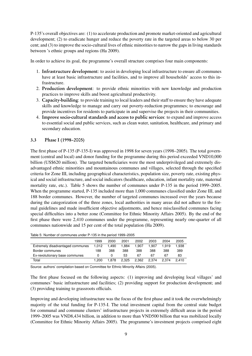P-135's overall objectives are: (1) to accelerate production and promote market-oriented and agricultural development; (2) to eradicate hunger and reduce the poverty rate in the targeted areas to below 30 per cent; and (3) to improve the socio-cultural lives of ethnic minorities to narrow the gaps in living standards between 's ethnic groups and regions [\(Ha](#page-21-0) [2009\)](#page-21-0).

In order to achieve its goal, the programme's overall structure comprises four main components:

- 1. Infrastructure development: to assist in developing local infrastructure to ensure all communes have at least basic infrastructure and facilities, and to improve all households' access to this infrastructure.
- 2. Production development: to provide ethnic minorities with new knowledge and production practices to improve skills and boost agricultural productivity.
- 3. Capacity-building: to provide training to local leaders and their staff to ensure they have adequate skills and knowledge to manage and carry out poverty-reduction programmes; to encourage and provide incentives for residents to participate in and supervise the projects in their communities.
- 4. Improve socio-cultural standards and access to public services: to expand and improve access to essential social and public services, such as clean water, sanitation, healthcare, and primary and secondary education.

## 3.3 Phase I (1998–2005)

The first phase of P-135 (P-135-I) was approved in 1998 for seven years (1998–2005). The total government (central and local) and donor funding for the programme during this period exceeded VND10,000 billion (US\$620 million). The targeted beneficiaries were the most underprivileged and extremely disadvantaged ethnic minorities and mountainous communes and villages, selected through the specified criteria for Zone III, including geographical characteristics, population size, poverty rate, existing physical and social infrastructure, and social indicators (healthcare, education, infant mortality rate, maternal mortality rate, etc.). Table [5](#page-10-0) shows the number of communes under P-135 in the period 1999–2005. When the programme started, P-135 included more than 1,000 communes classified under Zone III, and 188 border communes. However, the number of targeted communes increased over the years because during the categorization of the three zones, local authorities in many areas did not adhere to the formal guidelines and made insufficient objective adjustments, and hence misclassified communes facing special difficulties into a better zone [\(Committee for Ethnic Minority Affairs](#page-20-4) [2005\)](#page-20-4). By the end of the first phase there were 2,410 communes under the programme, representing nearly one-quarter of all communes nationwide and 15 per cent of the total population [\(Ha](#page-21-0) [2009\)](#page-21-0).

<span id="page-10-0"></span>

|  | Table 5: Number of communes under P-135 in the period 1999-2005 |  |  |  |
|--|-----------------------------------------------------------------|--|--|--|
|  |                                                                 |  |  |  |

|                                  | 1999  | 2000  | 2001  | 2002  | 2003  | 2004  | 2005  |
|----------------------------------|-------|-------|-------|-------|-------|-------|-------|
| Extremely disadvantaged communes | 1.012 | 1.490 | 1.884 | 1.907 | 1.907 | 1.919 | 1.938 |
| Border communes                  | 188   | 388   | 388   | 388   | 388   | 388   | 389   |
| Ex-revolutionary base communes   | O     |       | 53    | 67    | 67    | 67    | 83    |
| Total                            | 1.200 | 1.878 | 2.325 | 2.362 | 2.374 | 2.374 | 2.410 |

Source: authors' compilation based on [Committee for Ethnic Minority Affairs](#page-20-4) [\(2005\)](#page-20-4).

The first phase focused on the following aspects: (1) improving and developing local villages' and communes' basic infrastructure and facilities; (2) providing support for production development; and (3) providing training to grassroots officials.

Improving and developing infrastructure was the focus of the first phase and it took the overwhelmingly majority of the total funding for P-135-I. The total investment capital from the central state budget for communal and commune clusters' infrastructure projects in extremely difficult areas in the period 1999–2005 was VND8,434 billion, in addition to more than VND500 billion that was mobilized locally [\(Committee for Ethnic Minority Affairs](#page-20-4) [2005\)](#page-20-4). The programme's investment projects comprised eight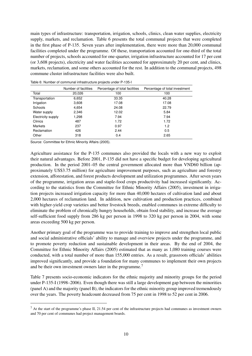main types of infrastructure: transportation, irrigation, schools, clinics, clean water supplies, electricity supply, markets, and reclamation. Table [6](#page-11-0) presents the total communal projects that were completed in the first phase of P-135. Seven years after implementation, there were more than 20,000 communal facilities completed under the programme. Of these, transportation accounted for one-third of the total number of projects, schools accounted for one-quarter, irrigation infrastructure accounted for 17 per cent (or 3,608 projects), electricity and water facilities accounted for approximately 20 per cent, and clinics, markets, reclamation, and some others accounted for the rest. In addition to the communal projects, 498 commune cluster infrastructure facilities were also built.

| Number of facilities | Percentage of total facilities | Percentage of total investment |
|----------------------|--------------------------------|--------------------------------|
| 20,026               | 100                            | 100                            |
| 6,652                | 33.35                          | 40.28                          |
| 3,608                | 17.08                          | 17.08                          |
| 4,654                | 24.08                          | 22.79                          |
| 2,346                | 12.02                          | 5.84                           |
| 1,298                | 7.94                           | 7.94                           |
| 487                  | 1.72                           | 1.72                           |
| 237                  | 0.97                           | 1.2                            |
| 426                  | 2.44                           | 0.5                            |
| 318                  | 0.4                            | 2.65                           |
|                      |                                |                                |

<span id="page-11-0"></span>Table 6: Number of communal infrastructure projects under P-135-I

Source: [Committee for Ethnic Minority Affairs](#page-20-4) [\(2005\)](#page-20-4).

Agriculture assistance for the P-135 communes also provided the locals with a new way to exploit their natural advantages. Before 2001, P-135 did not have a specific budget for developing agricultural production. In the period 2001–05 the central government allocated more than VND60 billion (approximately US\$3.75 million) for agriculture improvement purposes, such as agriculture and forestry extension, afforestation, and forest products development and utilization programmes. After seven years of the programme, irrigation areas and staple-food crops productivity had increased significantly. According to the statistics from the [Committee for Ethnic Minority Affairs](#page-20-4) [\(2005\)](#page-20-4), investment in irrigation projects increased irrigation capacity for more than 40,000 hectares of cultivation land and about 2,000 hectares of reclamation land. In addition, new cultivation and production practices, combined with higher-yield crop varieties and better livestock breeds, enabled communes in extreme difficulty to eliminate the problem of chronically hungry households, obtain food stability, and increase the average self-sufficient food supply from 286 kg per person in 1998 to 320 kg per person in 2004, with some areas exceeding 500 kg per person.

Another primary goal of the programme was to provide training to improve and strengthen local public and social administrative officials' ability to manage and overview projects under the programme, and to promote poverty reduction and sustainable development in their areas. By the end of 2004, the [Committee for Ethnic Minority Affairs](#page-20-4) [\(2005\)](#page-20-4) estimated that as many as 1,080 training courses were conducted, with a total number of more than 155,000 entries. As a result, grassroots officials' abilities improved significantly, and provide a foundation for many communes to implement their own projects and be their own investment owners later in the programme.<sup>[7](#page-2-0)</sup>

Table [7](#page-12-0) presents socio-economic indicators for the ethnic majority and minority groups for the period under P-135-I (1998–2006). Even though there was still a large development gap between the minorities (panel A) and the majority (panel B), the indicators for the ethnic minority group improved tremendously over the years. The poverty headcount decreased from 75 per cent in 1998 to 52 per cent in 2006.

 $<sup>7</sup>$  At the start of the programme's phase II, 21.54 per cent of the infrastructure projects had communes as investment owners</sup> and 70 per cent of communes had project management boards.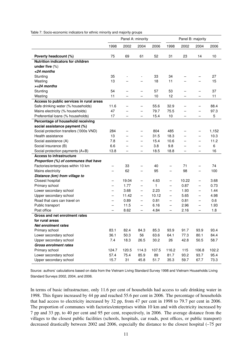|                                                  |                               |                          | Panel A: minority                      |               | Panel B: majority                      |                          |                          |              |
|--------------------------------------------------|-------------------------------|--------------------------|----------------------------------------|---------------|----------------------------------------|--------------------------|--------------------------|--------------|
|                                                  | 1998                          | 2002                     | 2004                                   | 2006          | 1998                                   | 2002                     | 2004                     | 2006         |
| Poverty headcount (%)                            | 75                            | 69                       | 61                                     | 52            | 31                                     | 23                       | 14                       | 10           |
| Nutrition indicators for children                |                               |                          |                                        |               |                                        |                          |                          |              |
| under five $(\%)$                                |                               |                          |                                        |               |                                        |                          |                          |              |
| <24 months                                       |                               |                          |                                        |               |                                        |                          |                          |              |
| Stunting                                         | 35                            | $\overline{\phantom{a}}$ | $\qquad \qquad \blacksquare$           | 33            | 34                                     |                          |                          | 27           |
| Wasting                                          | 13                            |                          |                                        | 18            | 11                                     |                          |                          | 15           |
| $>= 24$ months                                   |                               |                          |                                        |               |                                        |                          |                          |              |
| Stunting                                         | 54                            |                          | $\qquad \qquad -$                      | 57            | 53                                     | $\overline{\phantom{0}}$ | -                        | 37           |
| Wasting                                          | 11                            |                          | $\overline{\phantom{0}}$               | 10            | 12                                     | $\overline{\phantom{0}}$ |                          | 11           |
| Access to public services in rural areas         |                               |                          |                                        |               |                                        |                          |                          |              |
| Safe drinking water (% households)               | 11.6                          |                          | $\overline{\phantom{0}}$               | 55.6          | 32.9                                   | $\overline{\phantom{0}}$ | —                        | 88.4         |
| Mains electricity (% households)                 | 47                            |                          | $\overline{\phantom{0}}$               | 79.7          | 75.5                                   |                          |                          | 97.3         |
| Preferential loans (% households)                | 17                            |                          | —                                      | 15.4          | 10                                     | —                        |                          | 5            |
| Percentage of household receiving                |                               |                          |                                        |               |                                        |                          |                          |              |
| social assistance payment (%)                    |                               |                          |                                        |               |                                        |                          |                          |              |
| Social protection transfers ('000s VND)          | 284                           |                          | -                                      | 804           | 485                                    | -                        |                          | 1,152        |
| Health assistance                                | 13                            |                          | $\overline{\phantom{0}}$               | 31.5          | 18.3                                   |                          | —                        | 10.3         |
| Social assistance (A)                            | 7.8                           |                          | $\overline{\phantom{0}}$               | 15.4          | 10.6                                   |                          | $\overline{\phantom{0}}$ | 11.2         |
| Social insurance (B)                             | 6.6                           |                          |                                        | 3.8           | 9.8                                    |                          |                          | 6            |
| Social protection payments (A+B)                 | 13.8                          |                          | $\overline{\phantom{0}}$               | 18.5          | 18.8                                   | —                        | —                        | 16           |
| <b>Access to infrastructure</b>                  |                               |                          |                                        |               |                                        |                          |                          |              |
| Proportion (%) of communes that have             |                               |                          |                                        |               |                                        |                          |                          |              |
| Factories/enterprises within 10 km               |                               | 33                       |                                        | 40            |                                        | 71                       |                          | 74           |
| Mains electricity                                | $\overline{\phantom{0}}$      | 62                       | $\overline{\phantom{0}}$               | 95            | $\qquad \qquad -$                      | 98                       | $\overline{\phantom{0}}$ | 100          |
| Distance (km) from village to                    |                               |                          |                                        |               |                                        |                          |                          |              |
| Closest hospital                                 |                               | 19.04                    | $\qquad \qquad -$                      | 4.63          | $\qquad \qquad -$                      | 10.22                    | $\overline{\phantom{0}}$ | 3.68         |
| Primary school                                   | $\overline{\phantom{0}}$      | 1.77<br>3.68             |                                        | 1             | $\qquad \qquad -$                      | 0.87                     |                          | 0.73<br>1.44 |
| Lower secondary school<br>Upper secondary school | —                             | 11.42                    | $\qquad \qquad -$                      | 2.23<br>10.12 | $\qquad \qquad -$<br>$\qquad \qquad -$ | 1.93<br>5.65             | —                        | 4.98         |
| Road that cars can travel on                     | -<br>$\overline{\phantom{0}}$ | 0.89                     | $\qquad \qquad -$<br>$\qquad \qquad -$ | 0.81          | $\qquad \qquad -$                      | 0.81                     |                          | 0.6          |
| Public transport                                 |                               | 11.5                     | —                                      | 6.16          | $\qquad \qquad -$                      | 2.96                     | -                        | 1.93         |
| Post office                                      |                               | 8.62                     | —                                      | 4.84          | -                                      | 2.16                     | $\qquad \qquad -$        | 1.8          |
| Gross and net enrolment rates                    |                               |                          |                                        |               |                                        |                          |                          |              |
| for rural areas                                  |                               |                          |                                        |               |                                        |                          |                          |              |
| Net enrolment rates                              |                               |                          |                                        |               |                                        |                          |                          |              |
| Primary school                                   | 83.1                          | 82.4                     | 84.3                                   | 85.3          | 93.9                                   | 91.7                     | 93.9                     | 93.4         |
| Lower secondary school                           | 36.1                          | 50.3                     | 56                                     | 63.6          | 64.1                                   | 77.3                     | 80.1                     | 84.4         |
| Upper secondary school                           | 7.4                           | 18.3                     | 26.5                                   | 30.2          | 26                                     | 42.8                     | 50.5                     | 58.7         |
| <b>Gross enrolment rates</b>                     |                               |                          |                                        |               |                                        |                          |                          |              |
| Primary school                                   | 124.7                         | 120.5                    | 114.3                                  | 107.5         | 116.2                                  | 115                      | 106.8                    | 102.2        |
| Lower secondary school                           | 57.4                          | 75.4                     | 85.9                                   | 89            | 81.7                                   | 93.2                     | 93.7                     | 95.4         |
| Upper secondary school                           | 15.7                          | 31                       | 45.8                                   | 51.7          | 35.3                                   | 59.7                     | 67.7                     | 73.3         |

<span id="page-12-0"></span>Table 7: Socio-economic indicators for ethnic minority and majority groups

Source: authors' calculations based on data from the Vietnam Living Standard Survey 1998 and Vietnam Households Living Standard Surveys 2002, 2004, and 2006.

In terms of basic infrastructure, only 11.6 per cent of households had access to safe drinking water in 1998. This figure increased by 44 pp and reached 55.6 per cent in 2006. The percentage of households that had access to electricity increased by 32 pp, from 47 per cent in 1998 to 79.7 per cent in 2006. The proportion of communes with factories/enterprises within 10 km and with electricity increased by 7 pp and 33 pp, to 40 per cent and 95 per cent, respectively, in 2006. The average distance from the villages to the closest public facilities (schools, hospitals, car roads, post offices, or public transport) decreased drastically between 2002 and 2006, especially the distance to the closest hospital (–75 per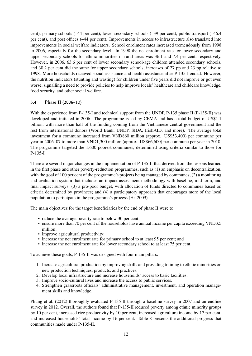cent), primary schools (–44 per cent), lower secondary schools (–39 per cent), public transport (–46.4 per cent), and post offices (–44 per cent). Improvements in access to infrastructure also translated into improvements in social welfare indicators. School enrolment rates increased tremendously from 1998 to 2006, especially for the secondary level. In 1998 the net enrolment rate for lower secondary and upper secondary schools for ethnic minorities in rural areas was 36.1 and 7.4 per cent, respectively. However, in 2006, 63.6 per cent of lower secondary school-age children attended secondary schools, and 30.2 per cent did the same for upper secondary schools, increases of 27 pp and 23 pp relative to 1998. More households received social assistance and health assistance after P-135-I ended. However, the nutrition indicators (stunting and wasting) for children under five years did not improve or got even worse, signalling a need to provide policies to help improve locals' healthcare and childcare knowledge, food security, and other social welfare.

## 3.4 Phase II (2006–10)

With the experience from P-135-I and technical support from the UNDP, P-135 phase II (P-135-II) was developed and initiated in 2006. The programme is led by CEMA and has a total budget of US\$1.1 billion, with more than half of the funding coming from the Vietnamese central government and the rest from international donors (World Bank, UNDP, SIDA, IrishAID, and more). The average total investment for a commune increased from VND860 million (approx. US\$53,400) per commune per year in 2006–07 to more than VND1,300 million (approx. US\$66,600) per commune per year in 2010. The programme targeted the 1,600 poorest communes, determined using criteria similar to those for P-135-I.

There are several major changes in the implementation of P-135-II that derived from the lessons learned in the first phase and other poverty-reduction programmes, such as (1) an emphasis on decentralization, with the goal of 100 per cent of the programme's projects being managed by communes; (2) a monitoring and evaluation system that includes an impact assessment methodology with baseline, mid-term, and final impact surveys; (3) a pro-poor budget, with allocation of funds directed to communes based on criteria determined by provinces; and (4) a participatory approach that encourages more of the local population to participate in the programme's process [\(Ha](#page-21-0) [2009\)](#page-21-0).

The main objectives for the target beneficiaries by the end of phase II were to:

- reduce the average poverty rate to below 30 per cent;
- ensure more than 70 per cent of the households have annual income per capita exceeding VND3.5 million;
- improve agricultural productivity:
- increase the net enrolment rate for primary school to at least 95 per cent; and
- increase the net enrolment rate for lower secondary school to at least 75 per cent.

To achieve these goals, P-135-II was designed with four main pillars:

- 1. Increase agricultural production by improving skills and providing training to ethnic minorities on new production techniques, products, and practices.
- 2. Develop local infrastructure and increase households' access to basic facilities.
- 3. Improve socio-cultural lives and increase the access to public services.
- 4. Strengthen grassroots officials' administrative management, investment, and operation management skills and knowledge.

[Phung et al.](#page-21-2) [\(2012\)](#page-21-2) thoroughly evaluated P-135-II through a baseline survey in 2007 and an endline survey in 2012. Overall, the authors found that P-135-II reduced poverty among ethnic minority groups by 10 per cent, increased rice productivity by 10 per cent, increased agriculture income by 17 per cent, and increased households' total income by 16 per cent. Table [8](#page-14-0) presents the additional progress that communities made under P-135-II.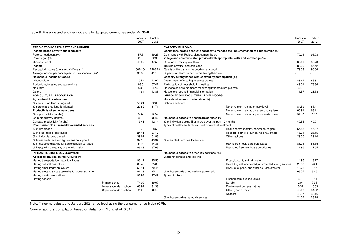#### <span id="page-14-0"></span>Table 8: Baseline and endline indicators for targeted communes under P-135-II

|                                                        |                        | <b>Baseline</b> | Endline |                                                                                   | Baseline | Endline |
|--------------------------------------------------------|------------------------|-----------------|---------|-----------------------------------------------------------------------------------|----------|---------|
|                                                        |                        | 2007            | 2012    |                                                                                   | 2007     | 2012    |
| <b>ERADICATION OF POVERTY AND HUNGER</b>               |                        |                 |         | <b>CAPACITY-BUILDING</b>                                                          |          |         |
| Income-based poverty and inequality                    |                        |                 |         | Communes having adequate capacity to manage the implementation of a programme (%) |          |         |
| Poverty headcount (%)                                  |                        | 57.5            | 49.25   | Communes with Project Management Board                                            | 70.04    | 93.93   |
| Poverty gap (%)                                        |                        | 23.5            | 22.36   | Village and commune staff provided with appropriate skills and knowledge (%)      |          |         |
| Gini coefficient                                       |                        | 43.07           | 47.53   | Duration of training is sufficient                                                | 35.09    | 59.73   |
| Income                                                 |                        |                 |         | Training practical and applicable                                                 | 82.69    | 85.42   |
| Per capital income (thousand VND/year)*                |                        | 6024.04         | 7265.78 | Quality of the trainers (% good or very good)                                     | 79.53    | 90.06   |
| Average income per capita/year > 3.5 million/year (%)* |                        | 30.88           | 41.13   | Supervision team trained before taking their role                                 |          |         |
| Household income structure                             |                        |                 |         | Capacity strengthened with community participation (%)                            |          |         |
| Wage, salary                                           |                        | 19.54           | 23.92   | Organization of meeting to select project                                         | 86.41    | 85.61   |
| Agriculture, forestry, and aquaculture                 |                        | 63.5            | 57.47   | Participation of household in meeting                                             | 49.01    | 73.86   |
| Non-farm                                               |                        | 5.32            | 4.73    | Households have members monitoring infrastructure projects                        | 3.48     | 8       |
| <b>Others</b>                                          |                        | 11.64           | 13.88   | Household received financial information                                          | 11.57    | 21.33   |
| <b>AGRICULTURAL PRODUCTION</b>                         |                        |                 |         | <b>IMPROVED SOCIO-CULTURAL LIVELIHOODS</b>                                        |          |         |
| Agricultural infrastructure                            |                        |                 |         | Household access to education (%)                                                 |          |         |
| % annual crop land is irrigated                        |                        | 50.21           | 82.08   | School enrolment                                                                  |          |         |
| % perennial crop land is irrigated                     |                        | 29.82           | 61.71   | Net enrolment rate at primary level                                               | 84.59    | 85.41   |
| Productivity of some main trees                        |                        |                 |         | Net enrolment rate at lower secondary level                                       | 60.91    | 63.11   |
| Rice productivity (ton/ha)                             |                        | 3.54            | 3.94    | Net enrolment rate at upper secondary level                                       | 31.13    | 32.5    |
| Corn productivity (ton/ha)                             |                        | 3.13            | 3.36    | Household access to healthcare services (%)                                       |          |         |
| Cassava productivity (ton/ha)                          |                        | 13.41           | 12.14   | % of individuals being ill or injured over the past 12 months                     | 49.55    | 49.91   |
| Poor households use market-oriented services           |                        |                 |         | Types of healthcare facilities used for medical treatment                         |          |         |
| % of rice traded                                       |                        | 9.7             | 8.5     | Health centre (hamlet, commune, region)                                           | 54.85    | 45.67   |
| % of other food crops traded                           |                        | 24.41           | 37.12   | Hospital (district, province, national, other)                                    | 15.61    | 25.15   |
| % of industrial crop traded                            |                        | 39.62           | 51.83   | Other facilities                                                                  | 29.55    | 29.14   |
| % households received agri extension support           |                        | 32.18           | 49.34   | % exempted from healthcare fees                                                   |          |         |
| % of household paying for agri extension services      |                        | 5.44            | 14.35   | Having free healthcare certificates                                               | 88.04    | 88.35   |
| % happy with the quality of the information            |                        | 88.49           | 87.68   | Having no free healthcare certificates                                            | 11.96    | 11.65   |
| <b>INFRASTRUCTURE DEVELOPMENT</b>                      |                        |                 |         | Household access to other key services (%)                                        |          |         |
| Access to physical infrastructures (%)                 |                        |                 |         | Water for drinking and cooking                                                    |          |         |
| Having transportation roads to villages                |                        | 93.12           | 95.55   | Piped, bought, and rain water                                                     | 14.96    | 13.27   |
| Having cultural post office                            |                        | 85.43           | 85.83   | Hand-dug well uncovered, unprotected spring sources                               | 26.38    | 28.4    |
| Having small irrigation system                         |                        | 59.11           | 70.45   | River, lake, pond, and other sources of water                                     | 10.73    | 6.17    |
| Having electricity (as alternative for power scheme)   |                        | 82.19           | 95.14   | % of households using national power grid                                         | 68.57    | 83.6    |
| Having healthcare stations                             |                        | 96.98           | 97.49   | Types of toilets                                                                  |          |         |
| Having schools                                         |                        |                 |         | Flushed/semi-flushed toilets                                                      | 3.72     | 9.14    |
|                                                        | Primary school         | 74.09           | 89.07   | Suilabh                                                                           | 2.04     | 7.35    |
|                                                        | Lower secondary school | 63.97           | 81.38   | Double vault compost latrine                                                      | 5.37     | 15.53   |
|                                                        | Upper secondary school | 2.02            | 3.64    | Other types of toilets                                                            | 46.08    | 34.82   |
|                                                        |                        |                 |         | No toilet                                                                         | 42.37    | 33.16   |
|                                                        |                        |                 |         | % of household using legal services                                               | 24.07    | 28.78   |

Note: \* income adjusted to January 2021 price level using the consumer price index (CPI).

Source: authors' compilation based on data from [Phung](#page-21-10) et al. [\(2012\)](#page-21-10).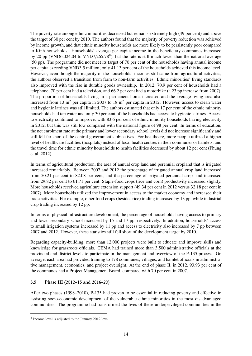The poverty rate among ethnic minorities decreased but remains extremely high (49 per cent) and above the target of 30 per cent by 2010. The authors found that the majority of poverty reduction was achieved by income growth, and that ethnic minority households are more likely to be persistently poor compared to Kinh households. Households' average per capita income in the beneficiary communes increased by 20 pp (VND6,024.04 to VND7,265.7[8](#page-2-0) $\text{8}$ ), but the rate is still much lower than the national average (50 pp). The programme did not meet its target of 70 per cent of the households having annual income per capita exceeding VND3.5 million; only 41.13 per cent of the households achieved this income level. However, even though the majority of the households' incomes still came from agricultural activities, the authors observed a transition from farm to non-farm activities. Ethnic minorities' living standards also improved with the rise in durable goods ownership. In 2012, 70.9 per cent of households had a telephone, 70 per cent had a television, and 66.2 per cent had a motorbike (a 23 pp increase from 2007). The proportion of households living in a permanent home increased and the average living area also increased from 13 m<sup>2</sup> per capita in 2007 to 18 m<sup>2</sup> per capita in 2012. However, access to clean water and hygienic latrines was still limited. The authors estimated that only 17 per cent of the ethnic minority households had tap water and only 30 per cent of the households had access to hygienic latrines. Access to electricity continued to improve, with 83.6 per cent of ethnic minority households having electricity in 2012, but this was still low compared with the national figure of 98 per cent. In terms of education, the net enrolment rate at the primary and lower secondary school levels did not increase significantly and still fell far short of the central government's objectives. For healthcare, more people utilized a higher level of healthcare facilities (hospitals) instead of local health centres in their communes or hamlets, and the travel time for ethnic minority households to health facilities decreased by about 12 per cent [\(Phung](#page-21-2) [et al.](#page-21-2) [2012\)](#page-21-2).

In terms of agricultural production, the area of annual crop land and perennial cropland that is irrigated increased remarkably. Between 2007 and 2012 the percentage of irrigated annual crop land increased from 50.21 per cent to 82.08 per cent, and the percentage of irrigated perennial crop land increased from 29.82 per cent to 61.71 per cent. Staple-food crops (rice and corn) productivity increased slightly. More households received agriculture extension support (49.34 per cent in 2012 versus 32.18 per cent in 2007). More households utilized the improvement in access to the market economy and increased their trade activities. For example, other food crops (besides rice) trading increased by 13 pp, while industrial crop trading increased by 12 pp.

In terms of physical infrastructure development, the percentage of households having access to primary and lower secondary school increased by 15 and 17 pp, respectively. In addition, households' access to small irrigation systems increased by 11 pp and access to electricity also increased by 7 pp between 2007 and 2012. However, these statistics still fell short of the development target by 2010.

Regarding capacity-building, more than 12,000 projects were built to educate and improve skills and knowledge for grassroots officials. CEMA had trained more than 3,500 administrative officials at the provincial and district levels to participate in the management and overview of the P-135 process. On average, each area had provided training to 178 communes, villages, and hamlet officials in administrative management, economics, and project oversight. At the end of phase II, in 2012, 93.93 per cent of the communes had a Project Management Board, compared with 70 per cent in 2007.

## 3.5 Phase III (2012–15 and 2016–20)

After two phases (1998–2010), P-135 had proven to be essential in reducing poverty and effective in assisting socio-economic development of the vulnerable ethnic minorities in the most disadvantaged communities. The programme had transformed the lives of these underprivileged communities in the

<sup>8</sup> Income level is adjusted to the January 2012 level.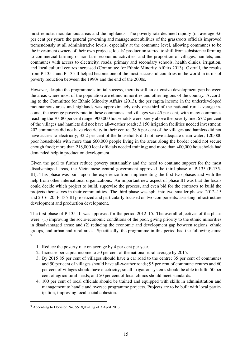most remote, mountainous areas and the highlands. The poverty rate declined rapidly (on average 3.6 per cent per year); the general governing and management abilities of the grassroots officials improved tremendously at all administrative levels, especially at the commune level, allowing communes to be the investment owners of their own projects; locals' production started to shift from subsistence farming to commercial farming or non-farm economic activities; and the proportion of villages, hamlets, and communes with access to electricity, roads, primary and secondary schools, health clinics, irrigation, and local cultural centres increased [\(Committee for Ethnic Minority Affairs](#page-20-5) [2013\)](#page-20-5). Overall, the results from P-135-I and P-135-II helped become one of the most successful countries in the world in terms of poverty reduction between the 1990s and the end of the 2000s.

However, despite the programme's initial success, there is still an extensive development gap between the areas where most of the population are ethnic minorities and other regions of the country. According to the [Committee for Ethnic Minority Affairs](#page-20-5) [\(2013\)](#page-20-5), the per capita income in the underdeveloped mountainous areas and highlands was approximately only one-third of the national rural average income; the average poverty rate in these communes and villages was 45 per cent, with many communes reaching the 70–80 per cent range; 900,000 households were barely above the poverty line; 67.2 per cent of the villages and hamlets did not have all-weather roads; 3,150 irrigation facilities needed investment; 202 communes did not have electricity in their centre; 38.6 per cent of the villages and hamlets did not have access to electricity; 32.2 per cent of the households did not have adequate clean water; 120,000 poor households with more than 660,000 people living in the areas along the border could not secure enough food; more than 218,000 local officials needed training; and more than 400,000 households had demanded help in production development.

Given the goal to further reduce poverty sustainably and the need to continue support for the most disadvantaged areas, the Vietnamese central government approved the third phase of P-135 (P-135- III). This phase was built upon the experience from implementing the first two phases and with the help from other international organizations. An important new aspect of phase III was that the locals could decide which project to build, supervise the process, and even bid for the contracts to build the projects themselves in their communities. The third phase was split into two smaller phases: 2012–15 and 2016–20. P-135-III prioritized and particularly focused on two components: assisting infrastructure development and production development.

The first phase of P-135-III was approved for the period 2012–15. The overall objectives of the phase were: (1) improving the socio-economic conditions of the poor, giving priority to the ethnic minorities in disadvantaged areas; and (2) reducing the economic and development gap between regions, ethnic groups, and urban and rural areas. Specifically, the programme in this period had the following aims: [9](#page-2-0)

- 1. Reduce the poverty rate on average by 4 per cent per year.
- 2. Increase per capita income to 50 per cent of the national rural average by 2015.
- 3. By 2015 85 per cent of villages should have a car road to the centre; 35 per cent of communes and 50 per cent of villages should have all-weather roads; 95 per cent of commune centres and 60 per cent of villages should have electricity; small irrigation systems should be able to fulfil 50 per cent of agricultural needs; and 50 per cent of local clinics should meet standards.
- 4. 100 per cent of local officials should be trained and equipped with skills in administration and management to handle and oversee programme projects. Projects are to be built with local participation, improving local social cohesion.

<sup>9</sup> According to Decision No. 551/QD-TTg of 7 April 2013.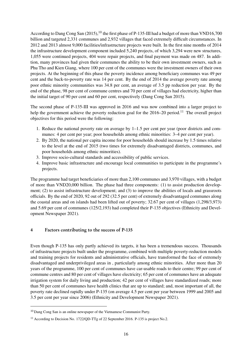According to [Dang Cong San](#page-21-11) [\(2015\)](#page-21-11),<sup>[10](#page-2-0)</sup> the first phase of P-135-III had a budget of more than VND16,700 billion and targeted 2,331 communes and 2,932 villages that faced extremely difficult circumstances. In 2012 and 2013 almost 9,000 facilities/infrastructure projects were built. In the first nine months of 2014 the infrastructure development component included 5,240 projects, of which 3,294 were new structures, 1,055 were continued projects, 404 were repair projects, and final payment was made on 487. In addition, many provinces had given their communes the ability to be their own investment owners, such as Phu Tho and Kien Giang, where 100 per cent of the communes were the investment owners of their own projects. At the beginning of this phase the poverty incidence among beneficiary communes was 49 per cent and the back-to-poverty rate was 14 per cent. By the end of 2014 the average poverty rate among poor ethnic minority communities was 34.8 per cent, an average of 3.5 pp reduction per year. By the end of the phase, 98 per cent of commune centres and 70 per cent of villages had electricity, higher than the initial target of 90 per cent and 60 per cent, respectively [\(Dang Cong San](#page-21-11) [2015\)](#page-21-11).

The second phase of P-135-III was approved in 2016 and was now combined into a larger project to help the government achieve the poverty reduction goal for the 2016–20 period.<sup>[11](#page-2-0)</sup> The overall project objectives for this period were the following:

- 1. Reduce the national poverty rate on average by 1–1.5 per cent per year (poor districts and communes: 4 per cent per year; poor households among ethnic minorities: 3–4 per cent per year).
- 2. By 2020, the national per capita income for poor households should increase by 1.5 times relative to the level at the end of 2015 (two times for extremely disadvantaged districts, communes, and poor households among ethnic minorities).
- 3. Improve socio-cultural standards and accessibility of public services.
- 4. Improve basic infrastructure and encourage local communities to participate in the programme's projects.

The programme had target beneficiaries of more than 2,100 communes and 3,970 villages, with a budget of more than VND20,000 billion. The phase had three components: (1) to assist production development; (2) to assist infrastructure development; and (3) to improve the abilities of locals and grassroots officials. By the end of 2020, 92 out of 292 (32.5 per cent) of extremely disadvantaged communes along the coastal areas and on islands had been lifted out of poverty; 32.67 per cent of villages (1,298/3,973) and 5.69 per cent of communes (125/2,193) had completed their P-135 objectives [\(Ethnicity and Devel](#page-21-12)[opment Newspaper](#page-21-12) [2021\)](#page-21-12).

## <span id="page-17-0"></span>4 Factors contributing to the success of P-135

Even though P-135 has only partly achieved its targets, it has been a tremendous success. Thousands of infrastructure projects built under the programme, combined with multiple poverty-reduction models and training projects for residents and administrative officials, have transformed the face of extremely disadvantaged and underprivileged areas in , particularly among ethnic minorities. After more than 20 years of the programme, 100 per cent of communes have car-usable roads to their centre; 99 per cent of commune centres and 80 per cent of villages have electricity; 65 per cent of communes have an adequate irrigation system for daily living and production; 42 per cent of villages have standardized roads; more than 50 per cent of communes have health clinics that are up to standard; and, most important of all, the poverty rate declined rapidly under P-135 (on average 4.5 per cent per year between 1999 and 2005 and 3.5 per cent per year since 2006) [\(Ethnicity and Development Newspaper](#page-21-12) [2021\)](#page-21-12).

<sup>10</sup> Dang Cong San is an online newspaper of the Vietnamese Communist Party.

<sup>&</sup>lt;sup>11</sup> According to Decision No. 1722/QD-TTg of 22 September 2016. P-135 is project No.2.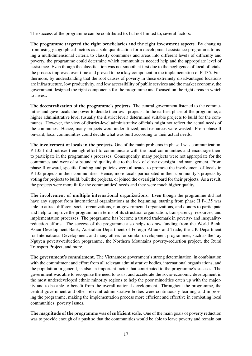The success of the programme can be contributed to, but not limited to, several factors:

The programme targeted the right beneficiaries and the right investment aspects. By changing from using geographical factors as a sole qualification for a development assistance programme to using a multidimensional criteria to classify communes and areas into different levels of difficulty and poverty, the programme could determine which communities needed help and the appropriate level of assistance. Even though the classification was not smooth at first due to the negligence of local officials, the process improved over time and proved to be a key component in the implementation of P-135. Furthermore, by understanding that the root causes of poverty in these extremely disadvantaged locations are infrastructure, low productivity, and low accessibility of public services and the market economy, the government designed the right components for the programme and focused on the right areas in which to invest.

The decentralization of the programme's projects. The central government listened to the communities and gave locals the power to decide their own projects. In the earliest phase of the programme, a higher administrative level (usually the district level) determined suitable projects to build for the communes. However, the view of district-level administrative officials might not reflect the actual needs of the communes. Hence, many projects were underutilized, and resources were wasted. From phase II onward, local communities could decide what was built according to their actual needs.

The involvement of locals in the projects. One of the main problems in phase I was communication. P-135-I did not exert enough effort to communicate with the local communities and encourage them to participate in the programme's processes. Consequently, many projects were not appropriate for the communes and were of substandard quality due to the lack of close oversight and management. From phase II onward, specific funding and policies were allocated to promote the involvement of locals in P-135 projects in their communities. Hence, more locals participated in their community's projects by voting for projects to build, built the projects, or joined the oversight board for their projects. As a result, the projects were more fit for the communities' needs and they were much higher quality.

The involvement of multiple international organizations. Even though the programme did not have any support from international organizations at the beginning, starting from phase II P-135 was able to attract different social organizations, non-governmental organizations, and donors to participate and help to improve the programme in terms of its structural organization, transparency, resources, and implementation processes. The programme has become a trusted trademark in poverty- and inequalityreduction efforts. The success of the programme also helps to draw funding from the World Bank, Asian Development Bank, Australian Department of Foreign Affairs and Trade, the UK Department for International Development, and many others for similar development programmes, such as the Tay Nguyen poverty-reduction programme, the Northern Mountains poverty-reduction project, the Rural Transport Project, and more.

The government's commitment. The Vietnamese government's strong determination, in combination with the commitment and effort from all relevant administrative bodies, international organizations, and the population in general, is also an important factor that contributed to the programme's success. The government was able to recognize the need to assist and accelerate the socio-economic development in the most underdeveloped ethnic minority regions to help the poor minorities catch up with the majority and to be able to benefit from the overall national development. Throughout the programme, the central government and other relevant administrative bodies were continuously learning and improving the programme, making the implementation process more efficient and effective in combating local communities' poverty issues.

The magnitude of the programme was of sufficient scale. One of the main goals of poverty reduction was to provide enough of a push so that the communities would be able to leave poverty and remain out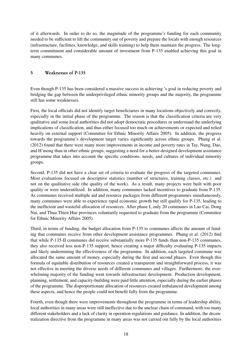of it afterwards. In order to do so, the magnitude of the programme's funding for each community needed to be sufficient to lift the community out of poverty and prepare the locals with enough resources (infrastructure, facilities, knowledge, and skills training) to help them maintain the progress. The longterm commitment and considerable amount of investment from P-135 enabled achieving this goal in many communes.

## <span id="page-19-0"></span>5 Weaknesses of P-135

Even though P-135 has been considered a massive success in achieving 's goal in reducing poverty and bridging the gap between the underprivileged ethnic minority groups and the majority, the programme still has some weaknesses.

First, the local officials did not identify target beneficiaries in many locations objectively and correctly, especially in the initial phase of the programme. The reason is that the classification criteria are very qualitative and some local authorities did not adopt democratic procedures or understand the underlying implications of classification, and thus either focused too much on achievements or expected and relied heavily on external support [\(Committee for Ethnic Minority Affairs](#page-20-4) [2005\)](#page-20-4). In addition, the progress towards the programme's development target varies significantly across ethnic groups. [Phung et al.](#page-21-2) [\(2012\)](#page-21-2) found that there were many more improvements in income and poverty rates in Tay, Nung, Dao, and H'mong than in other ethnic groups, suggesting a need for a better-designed development assistance programme that takes into account the specific conditions, needs, and cultures of individual minority groups.

Second, P-135 did not have a clear set of criteria to evaluate the progress of the targeted communes. Most evaluations focused on descriptive statistics (number of structures, training classes, etc.) and not on the qualitative side (the quality of the work). As a result, many projects were built with poor quality or were underutilized. In addition, many communes lacked incentives to graduate from P-135. As communes received multiple aid and resource packages from different programmes simultaneously, many communes were able to experience rapid economic growth but still qualify for P-135, leading to the inefficient and wasteful allocation of resources. After phase I, only 20 communes in Lao Cai, Dong Nai, and Thua Thien Hue provinces voluntarily requested to graduate from the programme [\(Committee](#page-20-4) [for Ethnic Minority Affairs](#page-20-4) [2005\)](#page-20-4).

Third, in terms of funding, the budget allocation from P-135 to communes affects the amount of funding that communes receive from other development assistance programmes. [Phung et al.](#page-21-2) [\(2012\)](#page-21-2) find that while P-135-II communes did receive substantially more P-135 funds than non-P-135 communes, they also received less non-P-135 support, hence creating a major difficulty evaluating P-135 impacts and likely undermining the effectiveness of the programme. In addition, each targeted commune was allocated the same amount of money, especially during the first and second phases. Even though this formula of equitable distribution of resources created a transparent and straightforward process, it was not effective in meeting the diverse needs of different communes and villages. Furthermore, the overwhelming majority of the funding went towards infrastructure development. Production development, planning, settlement, and capacity-building were paid little attention, especially during the earlier phases of the programme. The disproportionate allocation of resources created imbalanced development among these aspects, and hence the people could not benefit fully from the programme.

Fourth, even though there were improvements throughout the programme in terms of leadership ability, local authorities in many areas were still ineffective due to the unclear chain of command, with too many different stakeholders and a lack of clarity in operation regulations and guidance. In addition, the decentralization directive from the programme in many areas was not carried out fully by the local authorities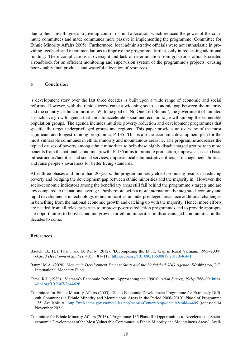due to their unwillingness to give up control of fund allocation, which reduced the power of the commune committees and made communes more passive in implementing the programme [\(Committee for](#page-20-4) [Ethnic Minority Affairs](#page-20-4) [2005\)](#page-20-4). Furthermore, local administrative officials were not enthusiastic in providing feedback and recommendations to improve the programme further, only in requesting additional funding. These complications in oversight and lack of determination from grassroots officials created a roadblock for an efficient monitoring and supervision system of the programme's projects, causing poor-quality final products and wasteful allocation of resources.

#### <span id="page-20-1"></span>6 Conclusion

's development story over the last three decades is built upon a wide range of economic and social reforms. However, with the rapid success came a widening socio-economic gap between the majority and the country's ethnic minorities. With the goal of 'No One Left Behind', the government of initiated an inclusive growth agenda that aims to accelerate social and economic growth among the vulnerable population groups. The agenda includes multiple poverty reduction and development programmes that specifically target underprivileged groups and regions. This paper provides an overview of the most significant and longest-running programme, P-135. This is a socio-economic development plan for the most vulnerable communes in ethnic minority and mountainous areas in . The programme addresses the typical causes of poverty among ethnic minorities to help these highly disadvantaged groups reap more benefits from the national economic growth. P-135 aims to promote production, improve access to basic infrastructure/facilities and social services, improve local administrative officials' management abilities, and raise people's awareness for better living standards.

After three phases and more than 20 years, the programme has yielded promising results in reducing poverty and bridging the development gap between ethnic minorities and the majority in . However, the socio-economic indicators among the beneficiary areas still fall behind the programme's targets and are low compared to the national average. Furthermore, with a more internationally integrated economy and rapid developments in technology, ethnic minorities in underprivileged areas face additional challenges in benefiting from the national economic growth and catching up with the majority. Hence, more efforts are needed from all relevant parties to improve poverty-reduction programmes and to provide appropriate opportunities to boost economic growth for ethnic minorities in disadvantaged communities in the decades to come.

#### References

- <span id="page-20-3"></span>Baulch, B., H.T. Pham, and B. Reilly (2012). 'Decomposing the Ethnic Gap in Rural Vietnam, 1993–2004'. *Oxford Development Studies*, 40(1): 87–117. <https://doi.org/10.1080/13600818.2011.646441>
- <span id="page-20-0"></span>Baum, M.A. (2020). *Vietnam's Development Success Story and the Unfinished SDG Agenda*. Washington, DC: International Monetary Fund.
- <span id="page-20-2"></span>Cima, R.J. (1989). 'Vietnam's Economic Reform: Approaching the 1990s'. *Asian Survey*, 29(8): 786–99. [https:](https://doi.org/10.2307/2644626) [//doi.org/10.2307/2644626](https://doi.org/10.2307/2644626)
- <span id="page-20-4"></span>Committee for Ethnic Minority Affairs (2005). 'Socio-Economic Development Programme for Extremely Difficult Communes in Ethnic Minority and Mountainous Areas in the Period 2006–2010'. Phase of Programme 135. Available at: <http://web.cema.gov.vn/modules.php?name=Content&op=details&mid=4405> (accessed 14 November 2021).
- <span id="page-20-5"></span>Committee for Ethnic Minority Affairs (2013). 'Programme-135 Phase III: Opportunities to Accelerate the Socioeconomic Development of the Most Vulnerable Communes in Ethnic Minority and Mountainous Areas'. Avail-